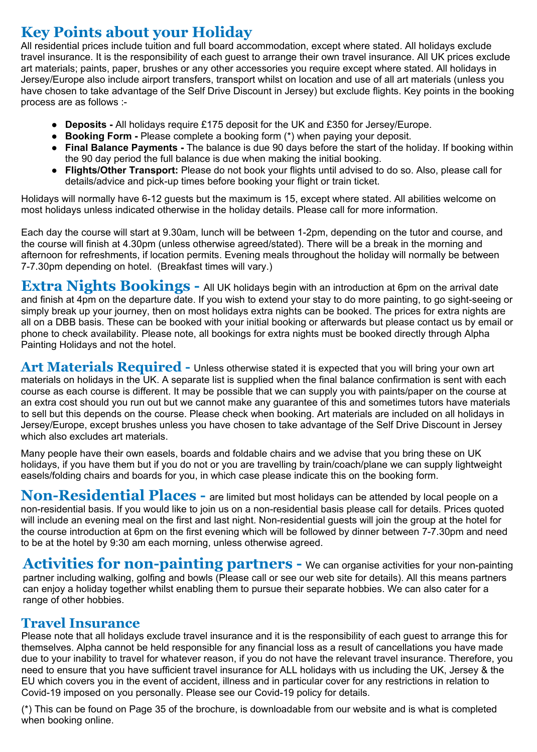# **Key Points about your Holiday**

All residential prices include tuition and full board accommodation, except where stated. All holidays exclude travel insurance. It is the responsibility of each guest to arrange their own travel insurance. All UK prices exclude art materials; paints, paper, brushes or any other accessories you require except where stated. All holidays in Jersey/Europe also include airport transfers, transport whilst on location and use of all art materials (unless you have chosen to take advantage of the Self Drive Discount in Jersey) but exclude flights. Key points in the booking process are as follows :-

- **Deposits -** All holidays require £175 deposit for the UK and £350 for Jersey/Europe.
- **Booking Form -** Please complete a booking form (\*) when paying your deposit.
- **Final Balance Payments -** The balance is due 90 days before the start of the holiday. If booking within the 90 day period the full balance is due when making the initial booking.
- **Flights/Other Transport:** Please do not book your flights until advised to do so. Also, please call for details/advice and pick-up times before booking your flight or train ticket.

Holidays will normally have 6-12 guests but the maximum is 15, except where stated. All abilities welcome on most holidays unless indicated otherwise in the holiday details. Please call for more information.

Each day the course will start at 9.30am, lunch will be between 1-2pm, depending on the tutor and course, and the course will finish at 4.30pm (unless otherwise agreed/stated). There will be a break in the morning and afternoon for refreshments, if location permits. Evening meals throughout the holiday will normally be between 7-7.30pm depending on hotel. (Breakfast times will vary.)

**Extra Nights Bookings -** All UK holidays begin with an introduction at 6pm on the arrival date and finish at 4pm on the departure date. If you wish to extend your stay to do more painting, to go sight-seeing or simply break up your journey, then on most holidays extra nights can be booked. The prices for extra nights are all on a DBB basis. These can be booked with your initial booking or afterwards but please contact us by email or phone to check availability. Please note, all bookings for extra nights must be booked directly through Alpha Painting Holidays and not the hotel.

**Art Materials Required -** Unless otherwise stated it is expected that you will bring your own art materials on holidays in the UK. A separate list is supplied when the final balance confirmation is sent with each course as each course is different. It may be possible that we can supply you with paints/paper on the course at an extra cost should you run out but we cannot make any guarantee of this and sometimes tutors have materials to sell but this depends on the course. Please check when booking. Art materials are included on all holidays in Jersey/Europe, except brushes unless you have chosen to take advantage of the Self Drive Discount in Jersey which also excludes art materials.

Many people have their own easels, boards and foldable chairs and we advise that you bring these on UK holidays, if you have them but if you do not or you are travelling by train/coach/plane we can supply lightweight easels/folding chairs and boards for you, in which case please indicate this on the booking form.

**Non-Residential Places -** are limited but most holidays can be attended by local people on a non-residential basis. If you would like to join us on a non-residential basis please call for details. Prices quoted will include an evening meal on the first and last night. Non-residential guests will join the group at the hotel for the course introduction at 6pm on the first evening which will be followed by dinner between 7-7.30pm and need to be at the hotel by 9:30 am each morning, unless otherwise agreed.

Activities for non-painting partners - We can organise activities for your non-painting partner including walking, golfing and bowls (Please call or see our web site for details). All this means partners can enjoy a holiday together whilst enabling them to pursue their separate hobbies. We can also cater for a range of other hobbies.

### **Travel Insurance**

Please note that all holidays exclude travel insurance and it is the responsibility of each guest to arrange this for themselves. Alpha cannot be held responsible for any financial loss as a result of cancellations you have made due to your inability to travel for whatever reason, if you do not have the relevant travel insurance. Therefore, you need to ensure that you have sufficient travel insurance for ALL holidays with us including the UK, Jersey & the EU which covers you in the event of accident, illness and in particular cover for any restrictions in relation to Covid-19 imposed on you personally. Please see our Covid-19 policy for details.

(\*) This can be found on Page 35 of the brochure, is downloadable from our website and is what is completed when booking online.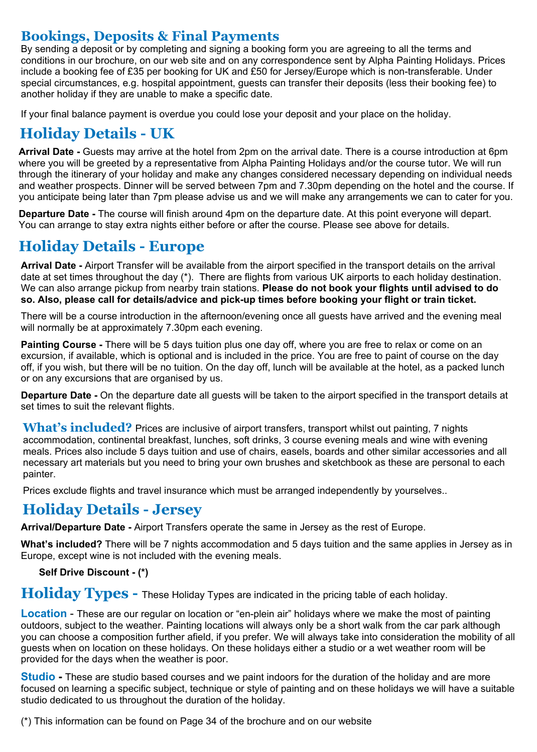## **Bookings, Deposits & Final Payments**

By sending a deposit or by completing and signing a booking form you are agreeing to all the terms and conditions in our brochure, on our web site and on any correspondence sent by Alpha Painting Holidays. Prices include a booking fee of £35 per booking for UK and £50 for Jersey/Europe which is non-transferable. Under special circumstances, e.g. hospital appointment, guests can transfer their deposits (less their booking fee) to another holiday if they are unable to make a specific date.

If your final balance payment is overdue you could lose your deposit and your place on the holiday.

# **Holiday Details - UK**

**Arrival Date -** Guests may arrive at the hotel from 2pm on the arrival date. There is a course introduction at 6pm where you will be greeted by a representative from Alpha Painting Holidays and/or the course tutor. We will run through the itinerary of your holiday and make any changes considered necessary depending on individual needs and weather prospects. Dinner will be served between 7pm and 7.30pm depending on the hotel and the course. If you anticipate being later than 7pm please advise us and we will make any arrangements we can to cater for you.

**Departure Date -** The course will finish around 4pm on the departure date. At this point everyone will depart. You can arrange to stay extra nights either before or after the course. Please see above for details.

# **Holiday Details - Europe**

**Arrival Date -** Airport Transfer will be available from the airport specified in the transport details on the arrival date at set times throughout the day (\*). There are flights from various UK airports to each holiday destination. We can also arrange pickup from nearby train stations. **Please do not book your flights until advised to do so. Also, please call for details/advice and pick-up times before booking your flight or train ticket.**

There will be a course introduction in the afternoon/evening once all guests have arrived and the evening meal will normally be at approximately 7.30pm each evening.

**Painting Course -** There will be 5 days tuition plus one day off, where you are free to relax or come on an excursion, if available, which is optional and is included in the price. You are free to paint of course on the day off, if you wish, but there will be no tuition. On the day off, lunch will be available at the hotel, as a packed lunch or on any excursions that are organised by us.

**Departure Date -** On the departure date all guests will be taken to the airport specified in the transport details at set times to suit the relevant flights.

What's included? Prices are inclusive of airport transfers, transport whilst out painting, 7 nights accommodation, continental breakfast, lunches, soft drinks, 3 course evening meals and wine with evening meals. Prices also include 5 days tuition and use of chairs, easels, boards and other similar accessories and all necessary art materials but you need to bring your own brushes and sketchbook as these are personal to each painter.

Prices exclude flights and travel insurance which must be arranged independently by yourselves..

# **Holiday Details - Jersey**

**Arrival/Departure Date -** Airport Transfers operate the same in Jersey as the rest of Europe.

**What's included?** There will be 7 nights accommodation and 5 days tuition and the same applies in Jersey as in Europe, except wine is not included with the evening meals.

#### **Self Drive Discount - (\*)**

**Holiday Types -** These Holiday Types are indicated in the pricing table of each holiday.

**Location** - These are our regular on location or "en-plein air" holidays where we make the most of painting outdoors, subject to the weather. Painting locations will always only be a short walk from the car park although you can choose a composition further afield, if you prefer. We will always take into consideration the mobility of all guests when on location on these holidays. On these holidays either a studio or a wet weather room will be provided for the days when the weather is poor.

**Studio -** These are studio based courses and we paint indoors for the duration of the holiday and are more focused on learning a specific subject, technique or style of painting and on these holidays we will have a suitable studio dedicated to us throughout the duration of the holiday.

(\*) This information can be found on Page 34 of the brochure and on our website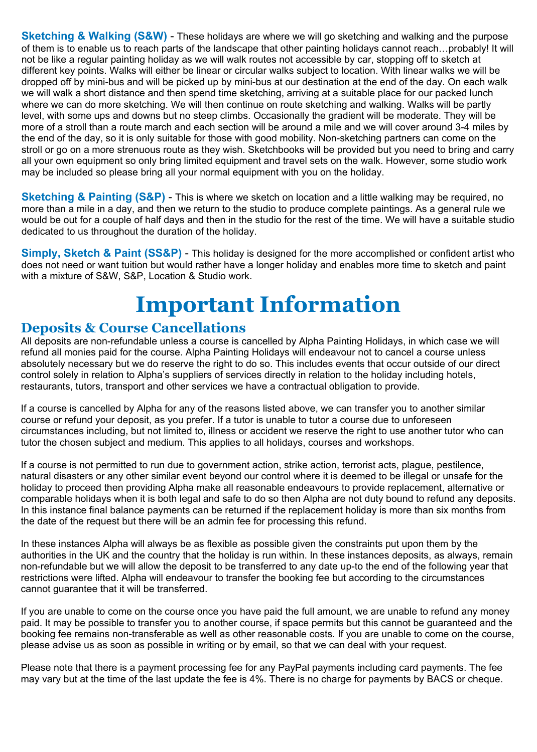**Sketching & Walking (S&W)** - These holidays are where we will go sketching and walking and the purpose of them is to enable us to reach parts of the landscape that other painting holidays cannot reach…probably! It will not be like a regular painting holiday as we will walk routes not accessible by car, stopping off to sketch at different key points. Walks will either be linear or circular walks subject to location. With linear walks we will be dropped off by mini-bus and will be picked up by mini-bus at our destination at the end of the day. On each walk we will walk a short distance and then spend time sketching, arriving at a suitable place for our packed lunch where we can do more sketching. We will then continue on route sketching and walking. Walks will be partly level, with some ups and downs but no steep climbs. Occasionally the gradient will be moderate. They will be more of a stroll than a route march and each section will be around a mile and we will cover around 3-4 miles by the end of the day, so it is only suitable for those with good mobility. Non-sketching partners can come on the stroll or go on a more strenuous route as they wish. Sketchbooks will be provided but you need to bring and carry all your own equipment so only bring limited equipment and travel sets on the walk. However, some studio work may be included so please bring all your normal equipment with you on the holiday.

**Sketching & Painting (S&P)** - This is where we sketch on location and a little walking may be required, no more than a mile in a day, and then we return to the studio to produce complete paintings. As a general rule we would be out for a couple of half days and then in the studio for the rest of the time. We will have a suitable studio dedicated to us throughout the duration of the holiday.

**Simply, Sketch & Paint (SS&P)** - This holiday is designed for the more accomplished or confident artist who does not need or want tuition but would rather have a longer holiday and enables more time to sketch and paint with a mixture of S&W, S&P, Location & Studio work.

# **Important Information**

## **Deposits & Course Cancellations**

All deposits are non-refundable unless a course is cancelled by Alpha Painting Holidays, in which case we will refund all monies paid for the course. Alpha Painting Holidays will endeavour not to cancel a course unless absolutely necessary but we do reserve the right to do so. This includes events that occur outside of our direct control solely in relation to Alpha's suppliers of services directly in relation to the holiday including hotels, restaurants, tutors, transport and other services we have a contractual obligation to provide.

If a course is cancelled by Alpha for any of the reasons listed above, we can transfer you to another similar course or refund your deposit, as you prefer. If a tutor is unable to tutor a course due to unforeseen circumstances including, but not limited to, illness or accident we reserve the right to use another tutor who can tutor the chosen subject and medium. This applies to all holidays, courses and workshops.

If a course is not permitted to run due to government action, strike action, terrorist acts, plague, pestilence, natural disasters or any other similar event beyond our control where it is deemed to be illegal or unsafe for the holiday to proceed then providing Alpha make all reasonable endeavours to provide replacement, alternative or comparable holidays when it is both legal and safe to do so then Alpha are not duty bound to refund any deposits. In this instance final balance payments can be returned if the replacement holiday is more than six months from the date of the request but there will be an admin fee for processing this refund.

In these instances Alpha will always be as flexible as possible given the constraints put upon them by the authorities in the UK and the country that the holiday is run within. In these instances deposits, as always, remain non-refundable but we will allow the deposit to be transferred to any date up-to the end of the following year that restrictions were lifted. Alpha will endeavour to transfer the booking fee but according to the circumstances cannot guarantee that it will be transferred.

If you are unable to come on the course once you have paid the full amount, we are unable to refund any money paid. It may be possible to transfer you to another course, if space permits but this cannot be guaranteed and the booking fee remains non-transferable as well as other reasonable costs. If you are unable to come on the course, please advise us as soon as possible in writing or by email, so that we can deal with your request.

Please note that there is a payment processing fee for any PayPal payments including card payments. The fee may vary but at the time of the last update the fee is 4%. There is no charge for payments by BACS or cheque.